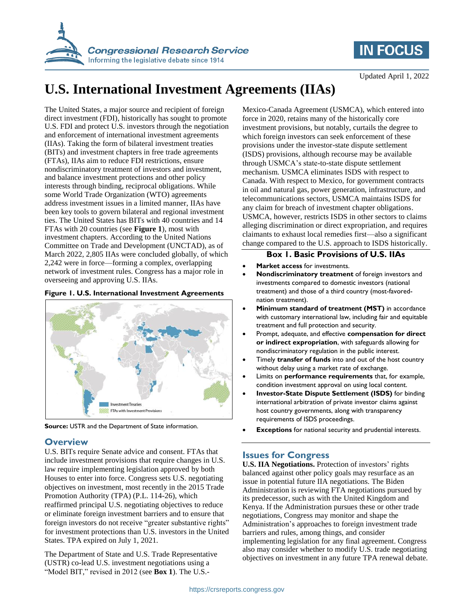

## **IN FOCUS**

Updated April 1, 2022

# **U.S. International Investment Agreements (IIAs)**

The United States, a major source and recipient of foreign direct investment (FDI), historically has sought to promote U.S. FDI and protect U.S. investors through the negotiation and enforcement of international investment agreements (IIAs). Taking the form of bilateral investment treaties (BITs) and investment chapters in free trade agreements (FTAs), IIAs aim to reduce FDI restrictions, ensure nondiscriminatory treatment of investors and investment, and balance investment protections and other policy interests through binding, reciprocal obligations. While some World Trade Organization (WTO) agreements address investment issues in a limited manner, IIAs have been key tools to govern bilateral and regional investment ties. The United States has BITs with 40 countries and 14 FTAs with 20 countries (see **Figure 1**), most with investment chapters. According to the United Nations Committee on Trade and Development (UNCTAD), as of March 2022, 2,805 IIAs were concluded globally, of which 2,242 were in force—forming a complex, overlapping network of investment rules. Congress has a major role in overseeing and approving U.S. IIAs.

#### **Figure 1. U.S. International Investment Agreements**





#### **Overview**

U.S. BITs require Senate advice and consent. FTAs that include investment provisions that require changes in U.S. law require implementing legislation approved by both Houses to enter into force. Congress sets U.S. negotiating objectives on investment, most recently in the 2015 Trade Promotion Authority (TPA) (P.L. 114-26), which reaffirmed principal U.S. negotiating objectives to reduce or eliminate foreign investment barriers and to ensure that foreign investors do not receive "greater substantive rights" for investment protections than U.S. investors in the United States. TPA expired on July 1, 2021.

The Department of State and U.S. Trade Representative (USTR) co-lead U.S. investment negotiations using a "Model BIT," revised in 2012 (see **Box 1**). The U.S.-

Mexico-Canada Agreement (USMCA), which entered into force in 2020, retains many of the historically core investment provisions, but notably, curtails the degree to which foreign investors can seek enforcement of these provisions under the investor-state dispute settlement (ISDS) provisions, although recourse may be available through USMCA's state-to-state dispute settlement mechanism. USMCA eliminates ISDS with respect to Canada. With respect to Mexico, for government contracts in oil and natural gas, power generation, infrastructure, and telecommunications sectors, USMCA maintains ISDS for any claim for breach of investment chapter obligations. USMCA, however, restricts ISDS in other sectors to claims alleging discrimination or direct expropriation, and requires claimants to exhaust local remedies first—also a significant change compared to the U.S. approach to ISDS historically.

#### **Box 1. Basic Provisions of U.S. IIAs**

- **Market access** for investments.
- **Nondiscriminatory treatment** of foreign investors and investments compared to domestic investors (national treatment) and those of a third country (most-favorednation treatment).
- **Minimum standard of treatment (MST)** in accordance with customary international law, including fair and equitable treatment and full protection and security.
- Prompt, adequate, and effective **compensation for direct or indirect expropriation**, with safeguards allowing for nondiscriminatory regulation in the public interest.
- Timely **transfer of funds** into and out of the host country without delay using a market rate of exchange.
- Limits on **performance requirements** that, for example, condition investment approval on using local content.
- **Investor-State Dispute Settlement (ISDS)** for binding international arbitration of private investor claims against host country governments, along with transparency requirements of ISDS proceedings.
- **Exceptions** for national security and prudential interests.

#### **Issues for Congress**

**U.S. IIA Negotiations.** Protection of investors' rights balanced against other policy goals may resurface as an issue in potential future IIA negotiations. The Biden Administration is reviewing FTA negotiations pursued by its predecessor, such as with the United Kingdom and Kenya. If the Administration pursues these or other trade negotiations, Congress may monitor and shape the Administration's approaches to foreign investment trade barriers and rules, among things, and consider implementing legislation for any final agreement. Congress also may consider whether to modify U.S. trade negotiating objectives on investment in any future TPA renewal debate.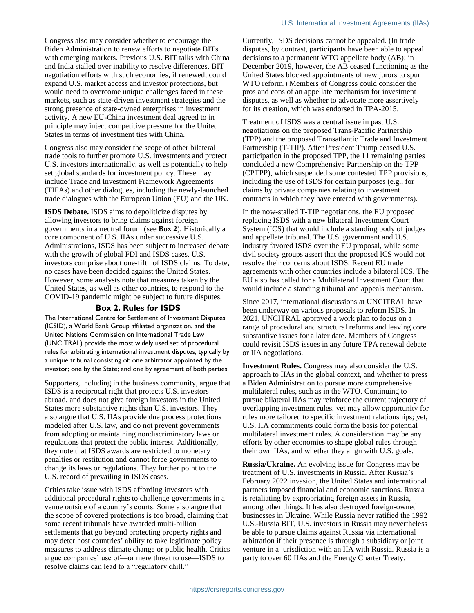Congress also may consider whether to encourage the Biden Administration to renew efforts to negotiate BITs with emerging markets. Previous U.S. BIT talks with China and India stalled over inability to resolve differences. BIT negotiation efforts with such economies, if renewed, could expand U.S. market access and investor protections, but would need to overcome unique challenges faced in these markets, such as state-driven investment strategies and the strong presence of state-owned enterprises in investment activity. A new EU-China investment deal agreed to in principle may inject competitive pressure for the United States in terms of investment ties with China.

Congress also may consider the scope of other bilateral trade tools to further promote U.S. investments and protect U.S. investors internationally, as well as potentially to help set global standards for investment policy. These may include Trade and Investment Framework Agreements (TIFAs) and other dialogues, including the newly-launched trade dialogues with the European Union (EU) and the UK.

**ISDS Debate.** ISDS aims to depoliticize disputes by allowing investors to bring claims against foreign governments in a neutral forum (see **Box 2**). Historically a core component of U.S. IIAs under successive U.S. Administrations, ISDS has been subject to increased debate with the growth of global FDI and ISDS cases. U.S. investors comprise about one-fifth of ISDS claims. To date, no cases have been decided against the United States. However, some analysts note that measures taken by the United States, as well as other countries, to respond to the COVID-19 pandemic might be subject to future disputes.

#### **Box 2. Rules for ISDS**

The International Centre for Settlement of Investment Disputes (ICSID), a World Bank Group affiliated organization, and the United Nations Commission on International Trade Law (UNCITRAL) provide the most widely used set of procedural rules for arbitrating international investment disputes, typically by a unique tribunal consisting of: one arbitrator appointed by the investor; one by the State; and one by agreement of both parties.

Supporters, including in the business community, argue that ISDS is a reciprocal right that protects U.S. investors abroad, and does not give foreign investors in the United States more substantive rights than U.S. investors. They also argue that U.S. IIAs provide due process protections modeled after U.S. law, and do not prevent governments from adopting or maintaining nondiscriminatory laws or regulations that protect the public interest. Additionally, they note that ISDS awards are restricted to monetary penalties or restitution and cannot force governments to change its laws or regulations. They further point to the U.S. record of prevailing in ISDS cases.

Critics take issue with ISDS affording investors with additional procedural rights to challenge governments in a venue outside of a country's courts. Some also argue that the scope of covered protections is too broad, claiming that some recent tribunals have awarded multi-billion settlements that go beyond protecting property rights and may deter host countries' ability to take legitimate policy measures to address climate change or public health. Critics argue companies' use of—or mere threat to use—ISDS to resolve claims can lead to a "regulatory chill."

Currently, ISDS decisions cannot be appealed. (In trade disputes, by contrast, participants have been able to appeal decisions to a permanent WTO appellate body (AB); in December 2019, however, the AB ceased functioning as the United States blocked appointments of new jurors to spur WTO reform.) Members of Congress could consider the pros and cons of an appellate mechanism for investment disputes, as well as whether to advocate more assertively for its creation, which was endorsed in TPA-2015.

Treatment of ISDS was a central issue in past U.S. negotiations on the proposed Trans-Pacific Partnership (TPP) and the proposed Transatlantic Trade and Investment Partnership (T-TIP). After President Trump ceased U.S. participation in the proposed TPP, the 11 remaining parties concluded a new Comprehensive Partnership on the TPP (CPTPP), which suspended some contested TPP provisions, including the use of ISDS for certain purposes (e.g., for claims by private companies relating to investment contracts in which they have entered with governments).

In the now-stalled T-TIP negotiations, the EU proposed replacing ISDS with a new bilateral Investment Court System (ICS) that would include a standing body of judges and appellate tribunal. The U.S. government and U.S. industry favored ISDS over the EU proposal, while some civil society groups assert that the proposed ICS would not resolve their concerns about ISDS. Recent EU trade agreements with other countries include a bilateral ICS. The EU also has called for a Multilateral Investment Court that would include a standing tribunal and appeals mechanism.

Since 2017, international discussions at UNCITRAL have been underway on various proposals to reform ISDS. In 2021, UNCITRAL approved a work plan to focus on a range of procedural and structural reforms and leaving core substantive issues for a later date. Members of Congress could revisit ISDS issues in any future TPA renewal debate or IIA negotiations.

**Investment Rules.** Congress may also consider the U.S. approach to IIAs in the global context, and whether to press a Biden Administration to pursue more comprehensive multilateral rules, such as in the WTO. Continuing to pursue bilateral IIAs may reinforce the current trajectory of overlapping investment rules, yet may allow opportunity for rules more tailored to specific investment relationships; yet, U.S. IIA commitments could form the basis for potential multilateral investment rules. A consideration may be any efforts by other economies to shape global rules through their own IIAs, and whether they align with U.S. goals.

**Russia/Ukraine.** An evolving issue for Congress may be treatment of U.S. investments in Russia. After Russia's February 2022 invasion, the United States and international partners imposed financial and economic sanctions. Russia is retaliating by expropriating foreign assets in Russia, among other things. It has also destroyed foreign-owned businesses in Ukraine. While Russia never ratified the 1992 U.S.-Russia BIT, U.S. investors in Russia may nevertheless be able to pursue claims against Russia via international arbitration if their presence is through a subsidiary or joint venture in a jurisdiction with an IIA with Russia. Russia is a party to over 60 IIAs and the Energy Charter Treaty.